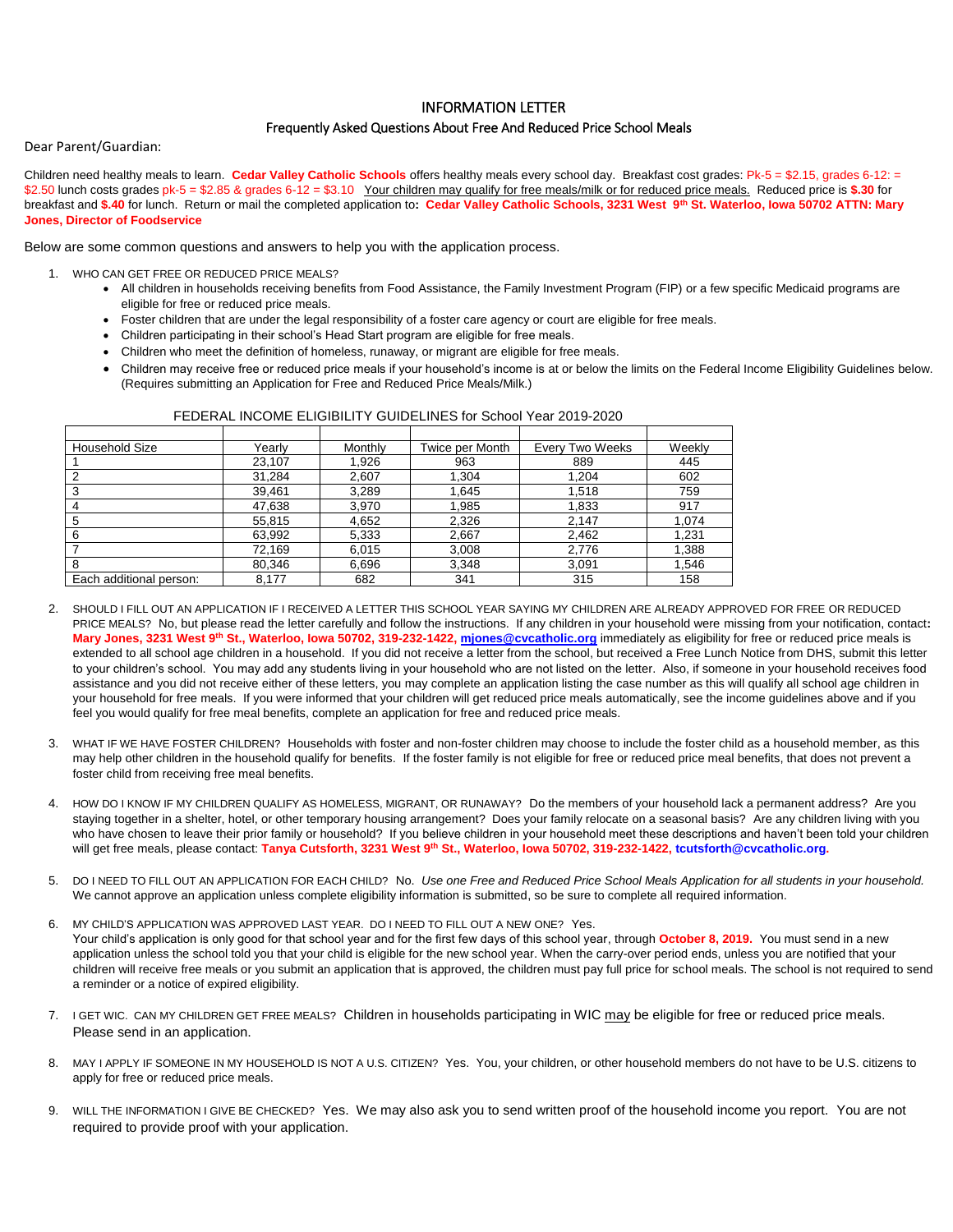## INFORMATION LETTER

## Frequently Asked Questions About Free And Reduced Price School Meals

Dear Parent/Guardian:

Children need healthy meals to learn. Cedar Valley Catholic Schools offers healthy meals every school day. Breakfast cost grades: Pk-5 = \$2.15, grades 6-12: = \$2.50 lunch costs grades pk-5 = \$2.85 & grades 6-12 = \$3.10 Your children may qualify for free meals/milk or for reduced price meals. Reduced price is **\$.30** for breakfast and **\$.40** for lunch. Return or mail the completed application to**: Cedar Valley Catholic Schools, 3231 West 9th St. Waterloo, Iowa 50702 ATTN: Mary Jones, Director of Foodservice**

Below are some common questions and answers to help you with the application process.

- 1. WHO CAN GET FREE OR REDUCED PRICE MEALS?
	- All children in households receiving benefits from Food Assistance, the Family Investment Program (FIP) or a few specific Medicaid programs are eligible for free or reduced price meals.
	- Foster children that are under the legal responsibility of a foster care agency or court are eligible for free meals.
	- Children participating in their school's Head Start program are eligible for free meals.
	- Children who meet the definition of homeless, runaway, or migrant are eligible for free meals.
	- Children may receive free or reduced price meals if your household's income is at or below the limits on the Federal Income Eligibility Guidelines below. (Requires submitting an Application for Free and Reduced Price Meals/Milk.)

| Household Size          | Yearly | Monthly | Twice per Month | <b>Every Two Weeks</b> | Weekly |
|-------------------------|--------|---------|-----------------|------------------------|--------|
|                         | 23,107 | 1,926   | 963             | 889                    | 445    |
|                         | 31,284 | 2,607   | 1.304           | 1,204                  | 602    |
|                         | 39,461 | 3,289   | 1,645           | 1,518                  | 759    |
|                         | 47,638 | 3,970   | 1,985           | 1,833                  | 917    |
|                         | 55.815 | 4,652   | 2,326           | 2,147                  | 1,074  |
| 6                       | 63,992 | 5,333   | 2,667           | 2,462                  | 1,231  |
|                         | 72,169 | 6,015   | 3,008           | 2,776                  | 1,388  |
| 8                       | 80,346 | 6,696   | 3,348           | 3,091                  | 1,546  |
| Each additional person: | 8,177  | 682     | 341             | 315                    | 158    |

## FEDERAL INCOME ELIGIBILITY GUIDELINES for School Year 2019-2020

- 2. SHOULD I FILL OUT AN APPLICATION IF I RECEIVED A LETTER THIS SCHOOL YEAR SAYING MY CHILDREN ARE ALREADY APPROVED FOR FREE OR REDUCED PRICE MEALS? No, but please read the letter carefully and follow the instructions. If any children in your household were missing from your notification, contact**: Mary Jones, 3231 West 9th St., Waterloo, Iowa 50702, 319-232-1422, [mjones@cvcatholic.org](mailto:mjones@cvcatholic.org)** immediately as eligibility for free or reduced price meals is extended to all school age children in a household. If you did not receive a letter from the school, but received a Free Lunch Notice from DHS, submit this letter to your children's school. You may add any students living in your household who are not listed on the letter. Also, if someone in your household receives food assistance and you did not receive either of these letters, you may complete an application listing the case number as this will qualify all school age children in your household for free meals. If you were informed that your children will get reduced price meals automatically, see the income guidelines above and if you feel you would qualify for free meal benefits, complete an application for free and reduced price meals.
- 3. WHAT IF WE HAVE FOSTER CHILDREN? Households with foster and non-foster children may choose to include the foster child as a household member, as this may help other children in the household qualify for benefits. If the foster family is not eligible for free or reduced price meal benefits, that does not prevent a foster child from receiving free meal benefits.
- 4. HOW DO I KNOW IF MY CHILDREN QUALIFY AS HOMELESS, MIGRANT, OR RUNAWAY? Do the members of your household lack a permanent address? Are you staying together in a shelter, hotel, or other temporary housing arrangement? Does your family relocate on a seasonal basis? Are any children living with you who have chosen to leave their prior family or household? If you believe children in your household meet these descriptions and haven't been told your children will get free meals, please contact: **Tanya Cutsforth, 3231 West 9th St., Waterloo, Iowa 50702, 319-232-1422, tcutsforth@cvcatholic.org.**
- 5. DO I NEED TO FILL OUT AN APPLICATION FOR EACH CHILD?No.*Use one Free and Reduced Price School Meals Application for all students in your household.*  We cannot approve an application unless complete eligibility information is submitted, so be sure to complete all required information.
- 6. MY CHILD'S APPLICATION WAS APPROVED LAST YEAR. DO I NEED TO FILL OUT A NEW ONE? Yes. Your child's application is only good for that school year and for the first few days of this school year, through **October 8, 2019.** You must send in a new application unless the school told you that your child is eligible for the new school year. When the carry-over period ends, unless you are notified that your children will receive free meals or you submit an application that is approved, the children must pay full price for school meals. The school is not required to send a reminder or a notice of expired eligibility.
- 7. I GET WIC. CAN MY CHILDREN GET FREE MEALS? Children in households participating in WIC may be eligible for free or reduced price meals. Please send in an application.
- 8. MAY I APPLY IF SOMEONE IN MY HOUSEHOLD IS NOT A U.S. CITIZEN? Yes. You, your children, or other household members do not have to be U.S. citizens to apply for free or reduced price meals.
- 9. WILL THE INFORMATION I GIVE BE CHECKED? Yes. We may also ask you to send written proof of the household income you report. You are not required to provide proof with your application.